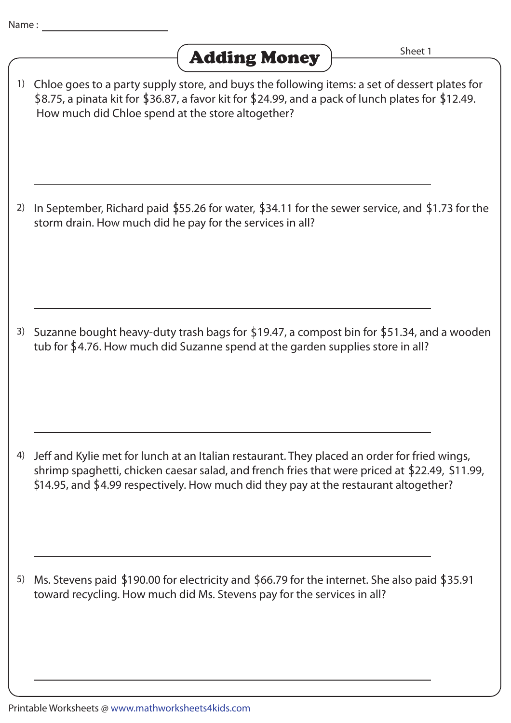

Chloe goes to a party supply store, and buys the following items: a set of dessert plates for 1) \$8.75, a pinata kit for \$36.87, a favor kit for \$24.99, and a pack of lunch plates for \$12.49. How much did Chloe spend at the store altogether?

<sup>2)</sup> In September, Richard paid \$55.26 for water, \$34.11 for the sewer service, and \$1.73 for the storm drain. How much did he pay for the services in all?

<sup>3)</sup> Suzanne bought heavy-duty trash bags for \$19.47, a compost bin for \$51.34, and a wooden tub for  $$4.76$ . How much did Suzanne spend at the garden supplies store in all?

4) Jeff and Kylie met for lunch at an Italian restaurant. They placed an order for fried wings, shrimp spaghetti, chicken caesar salad, and french fries that were priced at \$22.49, \$11.99,  $$14.95$ , and  $$4.99$  respectively. How much did they pay at the restaurant altogether?

5) Ms. Stevens paid \$190.00 for electricity and \$66.79 for the internet. She also paid \$35.91 toward recycling. How much did Ms. Stevens pay for the services in all?